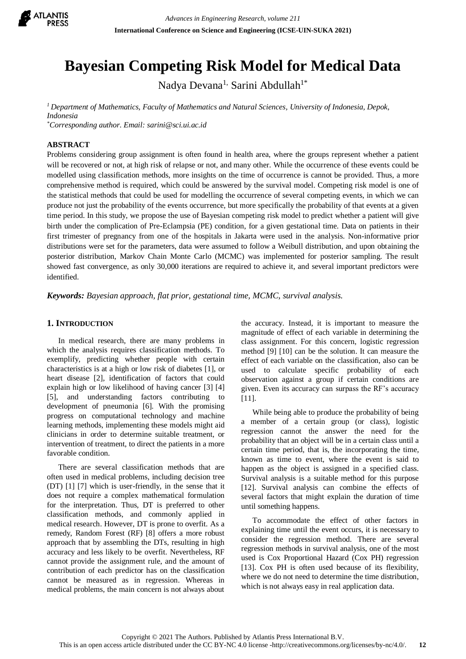

# **Bayesian Competing Risk Model for Medical Data**

Nadya Devana<sup>1,</sup> Sarini Abdullah<sup>1\*</sup>

*<sup>1</sup>Department of Mathematics, Faculty of Mathematics and Natural Sciences, University of Indonesia, Depok, Indonesia \*Corresponding author. Email: sarini@sci.ui.ac.id*

**ABSTRACT**

Problems considering group assignment is often found in health area, where the groups represent whether a patient will be recovered or not, at high risk of relapse or not, and many other. While the occurrence of these events could be modelled using classification methods, more insights on the time of occurrence is cannot be provided. Thus, a more comprehensive method is required, which could be answered by the survival model. Competing risk model is one of the statistical methods that could be used for modelling the occurrence of several competing events, in which we can produce not just the probability of the events occurrence, but more specifically the probability of that events at a given time period. In this study, we propose the use of Bayesian competing risk model to predict whether a patient will give birth under the complication of Pre-Eclampsia (PE) condition, for a given gestational time. Data on patients in their first trimester of pregnancy from one of the hospitals in Jakarta were used in the analysis. Non-informative prior distributions were set for the parameters, data were assumed to follow a Weibull distribution, and upon obtaining the posterior distribution, Markov Chain Monte Carlo (MCMC) was implemented for posterior sampling. The result showed fast convergence, as only 30,000 iterations are required to achieve it, and several important predictors were identified.

*Keywords: Bayesian approach, flat prior, gestational time, MCMC, survival analysis.*

## **1. INTRODUCTION**

In medical research, there are many problems in which the analysis requires classification methods. To exemplify, predicting whether people with certain characteristics is at a high or low risk of diabetes [1], or heart disease [2], identification of factors that could explain high or low likelihood of having cancer [3] [4] [5], and understanding factors contributing to development of pneumonia [6]. With the promising progress on computational technology and machine learning methods, implementing these models might aid clinicians in order to determine suitable treatment, or intervention of treatment, to direct the patients in a more favorable condition.

There are several classification methods that are often used in medical problems, including decision tree (DT) [1] [7] which is user-friendly, in the sense that it does not require a complex mathematical formulation for the interpretation. Thus, DT is preferred to other classification methods, and commonly applied in medical research. However, DT is prone to overfit. As a remedy, Random Forest (RF) [8] offers a more robust approach that by assembling the DTs, resulting in high accuracy and less likely to be overfit. Nevertheless, RF cannot provide the assignment rule, and the amount of contribution of each predictor has on the classification cannot be measured as in regression. Whereas in medical problems, the main concern is not always about

the accuracy. Instead, it is important to measure the magnitude of effect of each variable in determining the class assignment. For this concern, logistic regression method [9] [10] can be the solution. It can measure the effect of each variable on the classification, also can be used to calculate specific probability of each observation against a group if certain conditions are given. Even its accuracy can surpass the RF's accuracy [11].

While being able to produce the probability of being a member of a certain group (or class), logistic regression cannot the answer the need for the probability that an object will be in a certain class until a certain time period, that is, the incorporating the time, known as time to event, where the event is said to happen as the object is assigned in a specified class. Survival analysis is a suitable method for this purpose [12]. Survival analysis can combine the effects of several factors that might explain the duration of time until something happens.

To accommodate the effect of other factors in explaining time until the event occurs, it is necessary to consider the regression method. There are several regression methods in survival analysis, one of the most used is Cox Proportional Hazard (Cox PH) regression [13]. Cox PH is often used because of its flexibility, where we do not need to determine the time distribution, which is not always easy in real application data.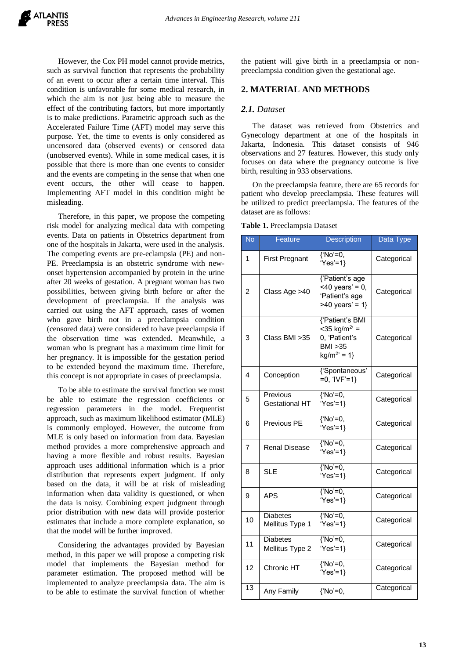However, the Cox PH model cannot provide metrics, such as survival function that represents the probability of an event to occur after a certain time interval. This condition is unfavorable for some medical research, in which the aim is not just being able to measure the effect of the contributing factors, but more importantly is to make predictions. Parametric approach such as the Accelerated Failure Time (AFT) model may serve this purpose. Yet, the time to events is only considered as uncensored data (observed events) or censored data (unobserved events). While in some medical cases, it is possible that there is more than one events to consider and the events are competing in the sense that when one event occurs, the other will cease to happen. Implementing AFT model in this condition might be misleading.

Therefore, in this paper, we propose the competing risk model for analyzing medical data with competing events. Data on patients in Obstetrics department from one of the hospitals in Jakarta, were used in the analysis. The competing events are pre-eclampsia (PE) and non-PE. Preeclampsia is an obstetric syndrome with newonset hypertension accompanied by protein in the urine after 20 weeks of gestation. A pregnant woman has two possibilities, between giving birth before or after the development of preeclampsia. If the analysis was carried out using the AFT approach, cases of women who gave birth not in a preeclampsia condition (censored data) were considered to have preeclampsia if the observation time was extended. Meanwhile, a woman who is pregnant has a maximum time limit for her pregnancy. It is impossible for the gestation period to be extended beyond the maximum time. Therefore, this concept is not appropriate in cases of preeclampsia.

To be able to estimate the survival function we must be able to estimate the regression coefficients or regression parameters in the model. Frequentist approach, such as maximum likelihood estimator (MLE) is commonly employed. However, the outcome from MLE is only based on information from data. Bayesian method provides a more comprehensive approach and having a more flexible and robust results. Bayesian approach uses additional information which is a prior distribution that represents expert judgment. If only based on the data, it will be at risk of misleading information when data validity is questioned, or when the data is noisy. Combining expert judgment through prior distribution with new data will provide posterior estimates that include a more complete explanation, so that the model will be further improved.

Considering the advantages provided by Bayesian method, in this paper we will propose a competing risk model that implements the Bayesian method for parameter estimation. The proposed method will be implemented to analyze preeclampsia data. The aim is to be able to estimate the survival function of whether the patient will give birth in a preeclampsia or nonpreeclampsia condition given the gestational age.

## **2. MATERIAL AND METHODS**

#### *2.1. Dataset*

The dataset was retrieved from Obstetrics and Gynecology department at one of the hospitals in Jakarta, Indonesia. This dataset consists of 946 observations and 27 features. However, this study only focuses on data where the pregnancy outcome is live birth, resulting in 933 observations.

On the preeclampsia feature, there are 65 records for patient who develop preeclampsia. These features will be utilized to predict preeclampsia. The features of the dataset are as follows:

| <b>No</b>       | Feature                            | <b>Description</b>                                                                                    | Data Type   |
|-----------------|------------------------------------|-------------------------------------------------------------------------------------------------------|-------------|
| 1               | <b>First Pregnant</b>              | $\sqrt{\text{No}'=0}$ ,<br>'Yes'=1}                                                                   | Categorical |
| $\overline{2}$  | Class Age >40                      | {'Patient's age<br>$<$ 40 years' = 0,<br>'Patient's age<br>$>40$ years' = 1}                          | Categorical |
| 3               | Class BMI > 35                     | {'Patient's BMI<br>$<$ 35 kg/m <sup>2</sup> ' =<br>0, 'Patient's<br><b>BMI &gt;35</b><br>$kg/m^2 = 1$ | Categorical |
| 4               | Conception                         | {'Spontaneous'<br>$=0, 'IVF'=1$                                                                       | Categorical |
| 5               | Previous<br><b>Gestational HT</b>  | $\sqrt{\text{No}'=0}$ ,<br>'Yes'=1}                                                                   | Categorical |
| 6               | <b>Previous PE</b>                 | $\sqrt{\text{No}'=0}$<br>'Yes'=1}                                                                     | Categorical |
| 7               | <b>Renal Disease</b>               | $\sqrt{\text{No}'=0}$ ,<br>'Yes'=1}                                                                   | Categorical |
| 8               | <b>SLE</b>                         | $\sqrt{\text{No}'=0}$ ,<br>'Yes'=1}                                                                   | Categorical |
| 9               | APS                                | $\sqrt{\text{No}'=0}$ ,<br>'Yes'=1}                                                                   | Categorical |
| 10              | <b>Diabetes</b><br>Mellitus Type 1 | {'No'=0,<br>'Yes'=1}                                                                                  | Categorical |
| 11              | <b>Diabetes</b><br>Mellitus Type 2 | $\sqrt{\text{No}'=0}$ ,<br>'Yes'=1}                                                                   | Categorical |
| 12              | Chronic HT                         | $\sqrt{\text{No}'=0}$ ,<br>'Yes'=1}                                                                   | Categorical |
| $\overline{13}$ | Any Family                         | {'No'=0,                                                                                              | Categorical |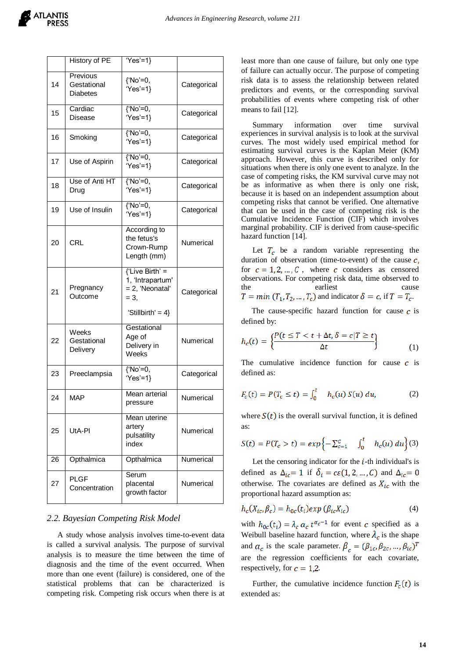|    | History of PE                              | $Yes'=1$                                                                                             |             |
|----|--------------------------------------------|------------------------------------------------------------------------------------------------------|-------------|
| 14 | Previous<br>Gestational<br><b>Diabetes</b> | {'No'=0,<br>'Yes'=1}                                                                                 | Categorical |
| 15 | Cardiac<br>Disease                         | $\sqrt{\text{No}'=0}$ ,<br>'Yes'=1}                                                                  | Categorical |
| 16 | Smoking                                    | $\sqrt{\text{No}'=0}$ ,<br>'Yes'=1}                                                                  | Categorical |
| 17 | Use of Aspirin                             | $\sqrt{\text{No}'=0}$ ,<br>'Yes'=1}                                                                  | Categorical |
| 18 | Use of Anti HT<br>Drug                     | {'No'=0,<br>$Yes'=1$                                                                                 | Categorical |
| 19 | Use of Insulin                             | $\sqrt{\text{No}'=0}$ ,<br>'Yes'=1}                                                                  | Categorical |
| 20 | <b>CRL</b>                                 | According to<br>the fetus's<br>Crown-Rump<br>Length (mm)                                             | Numerical   |
| 21 | Pregnancy<br>Outcome                       | $\overline{$ 'Live Birth' =<br>1, 'Intrapartum'<br>= 2, 'Neonatal'<br>$= 3.$<br>'Stillbirth' = $4$ } | Categorical |
| 22 | Weeks<br>Gestational<br>Delivery           | Gestational<br>Age of<br>Delivery in<br>Weeks                                                        | Numerical   |
| 23 | Preeclampsia                               | {'No'=0,<br>'Yes'=1}                                                                                 | Categorical |
| 24 | <b>MAP</b>                                 | Mean arterial<br>pressure                                                                            | Numerical   |
| 25 | UtA-PI                                     | Mean uterine<br>artery<br>pulsatility<br>index                                                       | Numerical   |
| 26 | Opthalmica                                 | Opthalmica                                                                                           | Numerical   |
| 27 | PLGF<br>Concentration                      | Serum<br>placental<br>growth factor                                                                  | Numerical   |

### *2.2. Bayesian Competing Risk Model*

A study whose analysis involves time-to-event data is called a survival analysis. The purpose of survival analysis is to measure the time between the time of diagnosis and the time of the event occurred. When more than one event (failure) is considered, one of the statistical problems that can be characterized is competing risk. Competing risk occurs when there is at least more than one cause of failure, but only one type of failure can actually occur. The purpose of competing risk data is to assess the relationship between related predictors and events, or the corresponding survival probabilities of events where competing risk of other means to fail [12].

Summary information over time survival experiences in survival analysis is to look at the survival curves. The most widely used empirical method for estimating survival curves is the Kaplan Meier (KM) approach. However, this curve is described only for situations when there is only one event to analyze. In the case of competing risks, the KM survival curve may not be as informative as when there is only one risk, because it is based on an independent assumption about competing risks that cannot be verified. One alternative that can be used in the case of competing risk is the Cumulative Incidence Function (CIF) which involves marginal probability. CIF is derived from cause-specific hazard function [14].

Let  $T_c$  be a random variable representing the duration of observation (time-to-event) of the cause  $c$ , for  $c = 1, 2, ..., C$ , where c considers as censored observations. For competing risk data, time observed to the earliest cause  $T = min (T_1, T_2, ..., T_c)$  and indicator  $\delta = c$ , if  $T = T_c$ .

The cause-specific hazard function for cause  $\boldsymbol{c}$  is defined by:

$$
h_c(t) = \left\{ \frac{P(t \le T < t + \Delta t, \delta = c | T \ge t)}{\Delta t} \right\}
$$
 (1)

The cumulative incidence function for cause  $c$  is defined as:

$$
F_c(t) = P(T_c \le t) = \int_0^t h_c(u) S(u) du,
$$
 (2)

where  $S(t)$  is the overall survival function, it is defined as:

$$
S(t) = P(T_c > t) = exp\left\{-\sum_{c=1}^{C} \int_0^t h_c(u) du\right\}(3)
$$

Let the censoring indicator for the  $\mathbf{i}$ -th individual's is defined as  $\Delta_{ic} = 1$  if  $\delta_i = c\varepsilon(1, 2, ..., C)$  and  $\Delta_{ic} = 0$ otherwise. The covariates are defined as  $X_{ic}$  with the proportional hazard assumption as:

$$
h_c(X_{ic}, \beta_c) = h_{0c}(t_i) exp(\beta_{ic} X_{ic})
$$
\n(4)

with  $h_{0c}(t_i) = \lambda_c \alpha_c t^{\alpha_c-1}$  for event c specified as a Weibull baseline hazard function, where  $\lambda_c$  is the shape and  $\alpha_c$  is the scale parameter.  $\beta_c = (\beta_{1c}, \beta_{2c}, ..., \beta_{ic})^T$ are the regression coefficients for each covariate, respectively, for  $c = 1,2$ .

Further, the cumulative incidence function  $F_c(t)$  is extended as: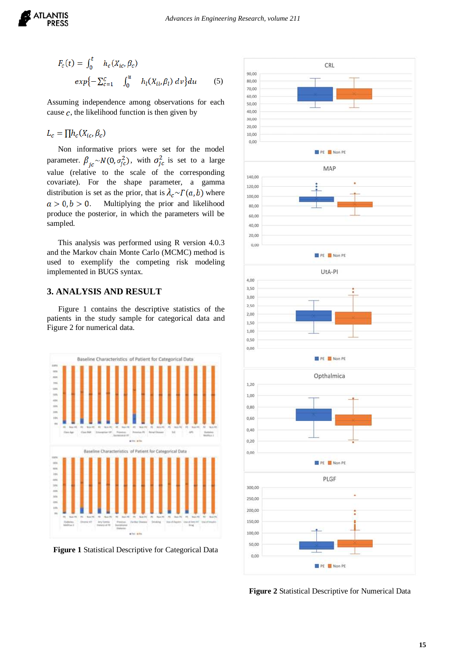

$$
F_c(t) = \int_0^t h_c(X_{ic}, \beta_c)
$$
  
 
$$
exp{-\sum_{c=1}^c \int_0^u h_l(X_{il}, \beta_l) dv} du
$$
 (5)

Assuming independence among observations for each cause  $c$ , the likelihood function is then given by

 $L_c = \prod h_c(X_{ic}, \beta_c)$ 

Non informative priors were set for the model parameter.  $\beta_{jc} \sim N(0, \sigma_{jc}^2)$ , with  $\sigma_{jc}^2$  is set to a large value (relative to the scale of the corresponding covariate). For the shape parameter, a gamma distribution is set as the prior, that is  $\lambda_c \sim \Gamma(a, b)$  where  $a > 0, b > 0$ . Multiplying the prior and likelihood produce the posterior, in which the parameters will be sampled.

This analysis was performed using R version 4.0.3 and the Markov chain Monte Carlo (MCMC) method is used to exemplify the competing risk modeling implemented in BUGS syntax.

## **3. ANALYSIS AND RESULT**

Figure 1 contains the descriptive statistics of the patients in the study sample for categorical data and Figure 2 for numerical data.



**Figure 1** Statistical Descriptive for Categorical Data



**Figure 2** Statistical Descriptive for Numerical Data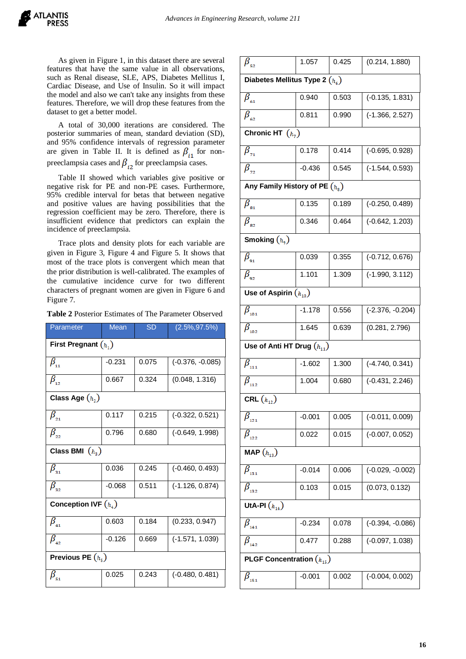As given in Figure 1, in this dataset there are several features that have the same value in all observations, such as Renal disease, SLE, APS, Diabetes Mellitus I, Cardiac Disease, and Use of Insulin. So it will impact the model and also we can't take any insights from these features. Therefore, we will drop these features from the dataset to get a better model.

A total of 30,000 iterations are considered. The posterior summaries of mean, standard deviation (SD), and 95% confidence intervals of regression parameter are given in Table II. It is defined as  $\beta_{i1}$  for nonpreeclampsia cases and  $\beta_{i2}$  for preeclampsia cases.

Table II showed which variables give positive or negative risk for PE and non-PE cases. Furthermore, 95% credible interval for betas that between negative and positive values are having possibilities that the regression coefficient may be zero. Therefore, there is insufficient evidence that predictors can explain the incidence of preeclampsia.

Trace plots and density plots for each variable are given in Figure 3, Figure 4 and Figure 5. It shows that most of the trace plots is convergent which mean that the prior distribution is well-calibrated. The examples of the cumulative incidence curve for two different characters of pregnant women are given in Figure 6 and Figure 7.

**Table 2** Posterior Estimates of The Parameter Observed

| Parameter                          | <b>Mean</b> | <b>SD</b> | $(2.5\%, 97.5\%)$  |  |  |  |
|------------------------------------|-------------|-----------|--------------------|--|--|--|
| First Pregnant $(h_1)$             |             |           |                    |  |  |  |
| $\beta_{_{11}}$                    | $-0.231$    | 0.075     | $(-0.376, -0.085)$ |  |  |  |
| $\beta_{_{12}}$                    | 0.667       | 0.324     | (0.048, 1.316)     |  |  |  |
| Class Age $(h_2)$                  |             |           |                    |  |  |  |
| $\beta_{_{21}}$                    | 0.117       | 0.215     | $(-0.322, 0.521)$  |  |  |  |
| $\beta_{22}$                       | 0.796       | 0.680     | $(-0.649, 1.998)$  |  |  |  |
| Class BMI $(h_3)$                  |             |           |                    |  |  |  |
| $\beta_{_{31}}$                    | 0.036       | 0.245     | $(-0.460, 0.493)$  |  |  |  |
| $\beta_{32}$                       | $-0.068$    | 0.511     | $(-1.126, 0.874)$  |  |  |  |
| Conception IVF $(h_4)$             |             |           |                    |  |  |  |
| $\beta_{_{41}}$                    | 0.603       | 0.184     | (0.233, 0.947)     |  |  |  |
| $\beta_{_{42}}$                    | $-0.126$    | 0.669     | $(-1.571, 1.039)$  |  |  |  |
| Previous PE $(h_{s})$              |             |           |                    |  |  |  |
| $\beta_{\scriptscriptstyle 51}^{}$ | 0.025       | 0.243     | $(-0.480, 0.481)$  |  |  |  |

| $\beta_{\rm_{52}}$                        | 1.057    | 0.425 | (0.214, 1.880)     |  |  |  |  |
|-------------------------------------------|----------|-------|--------------------|--|--|--|--|
| Diabetes Mellitus Type 2 $(h_{\epsilon})$ |          |       |                    |  |  |  |  |
| $\beta_{\scriptscriptstyle 61}$           | 0.940    | 0.503 | $(-0.135, 1.831)$  |  |  |  |  |
| $\beta_{_{62}}$                           | 0.811    | 0.990 | $(-1.366, 2.527)$  |  |  |  |  |
| Chronic HT $(h_7)$                        |          |       |                    |  |  |  |  |
| $\beta_{\pi}$                             | 0.178    | 0.414 | $(-0.695, 0.928)$  |  |  |  |  |
| $\beta_{\scriptscriptstyle 72}$           | $-0.436$ | 0.545 | $(-1.544, 0.593)$  |  |  |  |  |
| Any Family History of PE $(h_n)$          |          |       |                    |  |  |  |  |
| $\beta_{\scriptscriptstyle_{81}}$         | 0.135    | 0.189 | $(-0.250, 0.489)$  |  |  |  |  |
| $\beta_{\scriptscriptstyle_{82}}$         | 0.346    | 0.464 | $(-0.642, 1.203)$  |  |  |  |  |
| Smoking $(h9)$                            |          |       |                    |  |  |  |  |
| $\overline{\beta}_{_{91}}$                | 0.039    | 0.355 | $(-0.712, 0.676)$  |  |  |  |  |
| $\beta_{\scriptscriptstyle{92}}$          | 1.101    | 1.309 | $(-1.990, 3.112)$  |  |  |  |  |
| Use of Aspirin $(h_{10})$                 |          |       |                    |  |  |  |  |
| $\beta_{_{101}}$                          | $-1.178$ | 0.556 | $(-2.376, -0.204)$ |  |  |  |  |
| $\overline{\beta}_{_{102}}$               | 1.645    | 0.639 | (0.281, 2.796)     |  |  |  |  |
| Use of Anti HT Drug $(h_{11})$            |          |       |                    |  |  |  |  |
| $\beta_{_{111}}$                          | $-1.602$ | 1.300 | $(-4.740, 0.341)$  |  |  |  |  |
| $\beta_{_{112}}$                          | 1.004    | 0.680 | $(-0.431, 2.246)$  |  |  |  |  |
| CRL $(h_{12})$                            |          |       |                    |  |  |  |  |
| $\overline{\beta}_{_{121}}$               | $-0.001$ | 0.005 | $(-0.011, 0.009)$  |  |  |  |  |
| $\beta_{_{122}}$                          | 0.022    | 0.015 | $(-0.007, 0.052)$  |  |  |  |  |
| MAP $(h_{13})$                            |          |       |                    |  |  |  |  |
| $\beta_{_{131}}$                          | $-0.014$ | 0.006 | $(-0.029, -0.002)$ |  |  |  |  |
| $\overline{\beta}_{_{132}}$               | 0.103    | 0.015 | (0.073, 0.132)     |  |  |  |  |
| UtA-PI $(h_{14})$                         |          |       |                    |  |  |  |  |
| $\beta_{_{141}}$                          | $-0.234$ | 0.078 | $(-0.394, -0.086)$ |  |  |  |  |
| $\overline{\beta}_{_{142}}$               | 0.477    | 0.288 | $(-0.097, 1.038)$  |  |  |  |  |
| <b>PLGF Concentration</b> $(h_{15})$      |          |       |                    |  |  |  |  |
| $\beta_{_{151}}$                          | $-0.001$ | 0.002 | $(-0.004, 0.002)$  |  |  |  |  |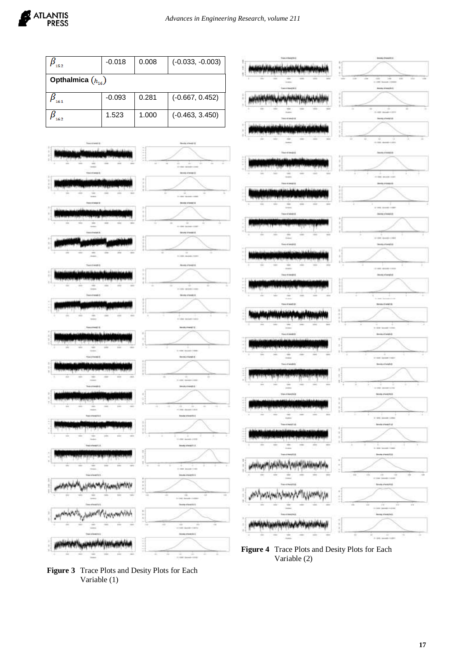

**Figure 3** Trace Plots and Desity Plots for Each Variable (1)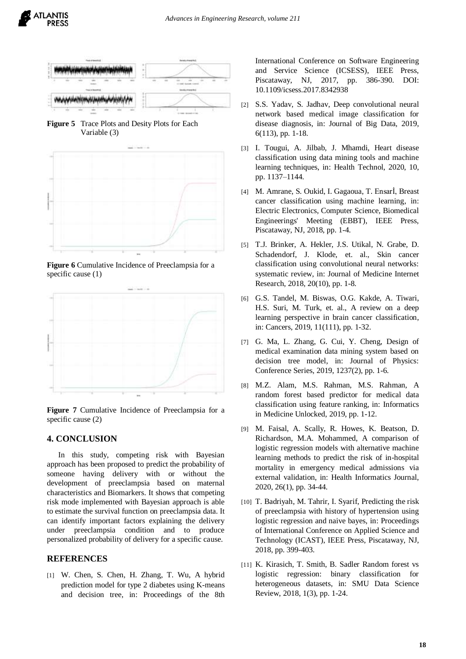

**Figure 5** Trace Plots and Desity Plots for Each Variable (3)

ATLANTIS **PRESS** 



**Figure 6** Cumulative Incidence of Preeclampsia for a specific cause (1)



**Figure 7** Cumulative Incidence of Preeclampsia for a specific cause (2)

### **4. CONCLUSION**

In this study, competing risk with Bayesian approach has been proposed to predict the probability of someone having delivery with or without the development of preeclampsia based on maternal characteristics and Biomarkers. It shows that competing risk mode implemented with Bayesian approach is able to estimate the survival function on preeclampsia data. It can identify important factors explaining the delivery under preeclampsia condition and to produce personalized probability of delivery for a specific cause.

#### **REFERENCES**

[1] W. Chen, S. Chen, H. Zhang, T. Wu, A hybrid prediction model for type 2 diabetes using K-means and decision tree, in: Proceedings of the 8th International Conference on Software Engineering and Service Science (ICSESS), IEEE Press, Piscataway, NJ, 2017, pp. 386-390. DOI: 10.1109/icsess.2017.8342938

- [2] S.S. Yadav, S. Jadhav, Deep convolutional neural network based medical image classification for disease diagnosis, in: Journal of Big Data, 2019, 6(113), pp. 1-18.
- [3] I. Tougui, A. Jilbab, J. Mhamdi, Heart disease classification using data mining tools and machine learning techniques, in: Health Technol, 2020, 10, pp. 1137–1144.
- [4] M. Amrane, S. Oukid, I. Gagaoua, T. Ensarİ, Breast cancer classification using machine learning, in: Electric Electronics, Computer Science, Biomedical Engineerings' Meeting (EBBT), IEEE Press, Piscataway, NJ, 2018, pp. 1-4.
- [5] T.J. Brinker, A. Hekler, J.S. Utikal, N. Grabe, D. Schadendorf, J. Klode, et. al., Skin cancer classification using convolutional neural networks: systematic review, in: Journal of Medicine Internet Research, 2018, 20(10), pp. 1-8.
- [6] G.S. Tandel, M. Biswas, O.G. Kakde, A. Tiwari, H.S. Suri, M. Turk, et. al., A review on a deep learning perspective in brain cancer classification, in: Cancers, 2019, 11(111), pp. 1-32.
- [7] G. Ma, L. Zhang, G. Cui, Y. Cheng, Design of medical examination data mining system based on decision tree model, in: Journal of Physics: Conference Series, 2019, 1237(2), pp. 1-6.
- [8] M.Z. Alam, M.S. Rahman, M.S. Rahman, A random forest based predictor for medical data classification using feature ranking, in: Informatics in Medicine Unlocked, 2019, pp. 1-12.
- [9] M. Faisal, A. Scally, R. Howes, K. Beatson, D. Richardson, M.A. Mohammed, A comparison of logistic regression models with alternative machine learning methods to predict the risk of in-hospital mortality in emergency medical admissions via external validation, in: Health Informatics Journal, 2020, 26(1), pp. 34-44.
- [10] T. Badriyah, M. Tahrir, I. Syarif, Predicting the risk of preeclampsia with history of hypertension using logistic regression and naive bayes, in: Proceedings of International Conference on Applied Science and Technology (ICAST), IEEE Press, Piscataway, NJ, 2018, pp. 399-403.
- [11] K. Kirasich, T. Smith, B. Sadler Random forest vs logistic regression: binary classification for heterogeneous datasets, in: SMU Data Science Review, 2018, 1(3), pp. 1-24.